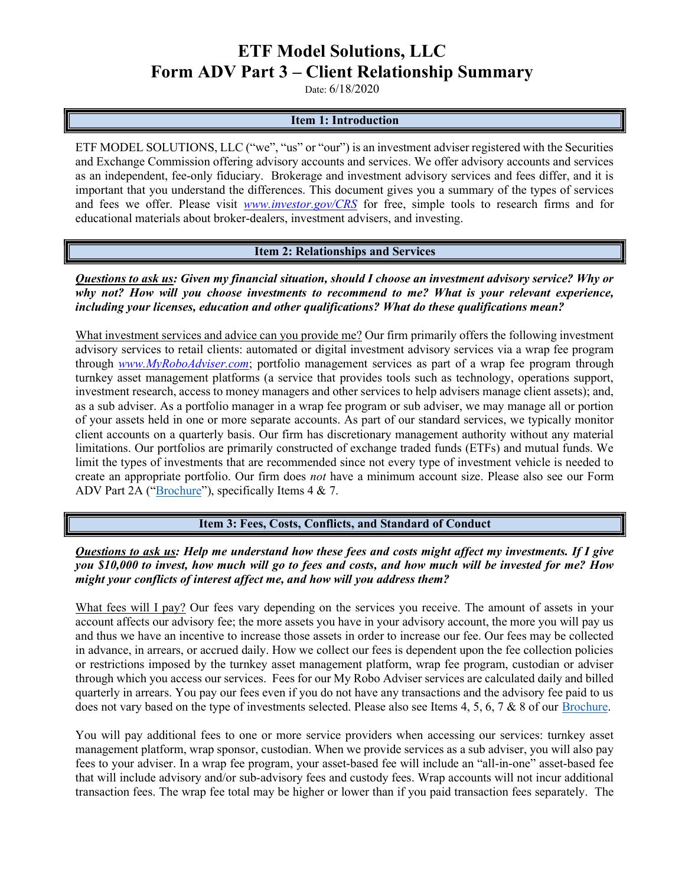### ETF Model Solutions, LLC Form ADV Part 3 – Client Relationship Summary

Date: 6/18/2020

#### Item 1: Introduction

ETF MODEL SOLUTIONS, LLC ("we", "us" or "our") is an investment adviser registered with the Securities and Exchange Commission offering advisory accounts and services. We offer advisory accounts and services as an independent, fee-only fiduciary. Brokerage and investment advisory services and fees differ, and it is important that you understand the differences. This document gives you a summary of the types of services and fees we offer. Please visit *www.investor.gov/CRS* for free, simple tools to research firms and for educational materials about broker-dealers, investment advisers, and investing.

#### Item 2: Relationships and Services

Questions to ask us: Given my financial situation, should I choose an investment advisory service? Why or why not? How will you choose investments to recommend to me? What is your relevant experience, including your licenses, education and other qualifications? What do these qualifications mean?

What investment services and advice can you provide me? Our firm primarily offers the following investment advisory services to retail clients: automated or digital investment advisory services via a wrap fee program through www.MyRoboAdviser.com; portfolio management services as part of a wrap fee program through turnkey asset management platforms (a service that provides tools such as technology, operations support, investment research, access to money managers and other services to help advisers manage client assets); and, as a sub adviser. As a portfolio manager in a wrap fee program or sub adviser, we may manage all or portion of your assets held in one or more separate accounts. As part of our standard services, we typically monitor client accounts on a quarterly basis. Our firm has discretionary management authority without any material limitations. Our portfolios are primarily constructed of exchange traded funds (ETFs) and mutual funds. We limit the types of investments that are recommended since not every type of investment vehicle is needed to create an appropriate portfolio. Our firm does not have a minimum account size. Please also see our Form ADV Part 2A ("Brochure"), specifically Items 4 & 7.

Item 3: Fees, Costs, Conflicts, and Standard of Conduct

Questions to ask us: Help me understand how these fees and costs might affect my investments. If I give you \$10,000 to invest, how much will go to fees and costs, and how much will be invested for me? How might your conflicts of interest affect me, and how will you address them?

What fees will I pay? Our fees vary depending on the services you receive. The amount of assets in your account affects our advisory fee; the more assets you have in your advisory account, the more you will pay us and thus we have an incentive to increase those assets in order to increase our fee. Our fees may be collected in advance, in arrears, or accrued daily. How we collect our fees is dependent upon the fee collection policies or restrictions imposed by the turnkey asset management platform, wrap fee program, custodian or adviser through which you access our services. Fees for our My Robo Adviser services are calculated daily and billed quarterly in arrears. You pay our fees even if you do not have any transactions and the advisory fee paid to us does not vary based on the type of investments selected. Please also see Items 4, 5, 6, 7 & 8 of our Brochure.

You will pay additional fees to one or more service providers when accessing our services: turnkey asset management platform, wrap sponsor, custodian. When we provide services as a sub adviser, you will also pay fees to your adviser. In a wrap fee program, your asset-based fee will include an "all-in-one" asset-based fee that will include advisory and/or sub-advisory fees and custody fees. Wrap accounts will not incur additional transaction fees. The wrap fee total may be higher or lower than if you paid transaction fees separately. The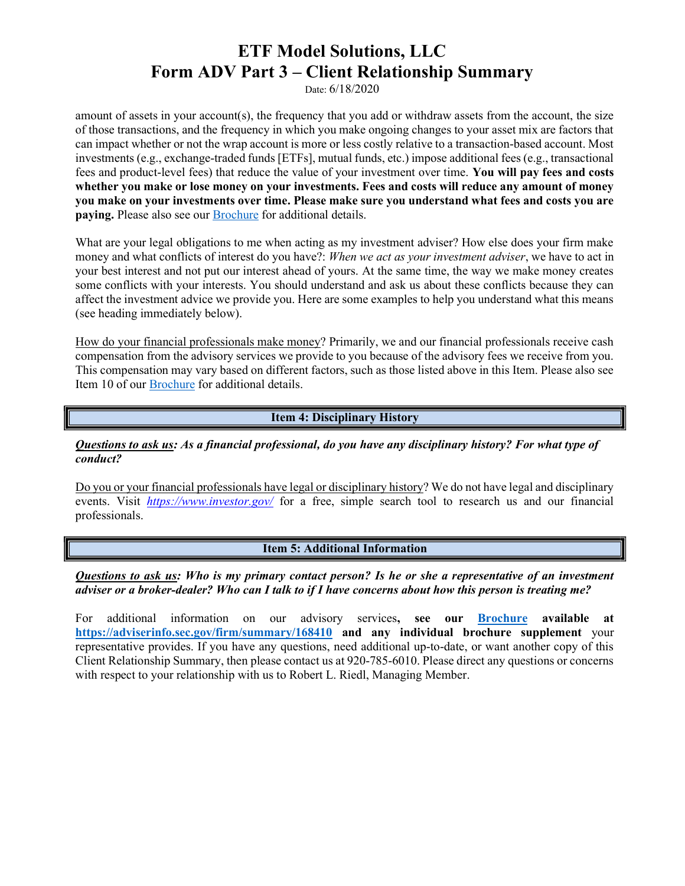# ETF Model Solutions, LLC Form ADV Part 3 – Client Relationship Summary

Date: 6/18/2020

amount of assets in your account(s), the frequency that you add or withdraw assets from the account, the size of those transactions, and the frequency in which you make ongoing changes to your asset mix are factors that can impact whether or not the wrap account is more or less costly relative to a transaction-based account. Most investments (e.g., exchange-traded funds [ETFs], mutual funds, etc.) impose additional fees (e.g., transactional fees and product-level fees) that reduce the value of your investment over time. You will pay fees and costs whether you make or lose money on your investments. Fees and costs will reduce any amount of money you make on your investments over time. Please make sure you understand what fees and costs you are paying. Please also see our **Brochure** for additional details.

What are your legal obligations to me when acting as my investment adviser? How else does your firm make money and what conflicts of interest do you have?: When we act as your investment adviser, we have to act in your best interest and not put our interest ahead of yours. At the same time, the way we make money creates some conflicts with your interests. You should understand and ask us about these conflicts because they can affect the investment advice we provide you. Here are some examples to help you understand what this means (see heading immediately below).

How do your financial professionals make money? Primarily, we and our financial professionals receive cash compensation from the advisory services we provide to you because of the advisory fees we receive from you. This compensation may vary based on different factors, such as those listed above in this Item. Please also see Item 10 of our Brochure for additional details.

#### Item 4: Disciplinary History

#### Questions to ask us: As a financial professional, do you have any disciplinary history? For what type of conduct?

Do you or your financial professionals have legal or disciplinary history? We do not have legal and disciplinary events. Visit https://www.investor.gov/ for a free, simple search tool to research us and our financial professionals.

### Item 5: Additional Information

#### Questions to ask us: Who is my primary contact person? Is he or she a representative of an investment adviser or a broker-dealer? Who can I talk to if I have concerns about how this person is treating me?

For additional information on our advisory services, see our **Brochure available at** https://adviserinfo.sec.gov/firm/summary/168410 and any individual brochure supplement your representative provides. If you have any questions, need additional up-to-date, or want another copy of this Client Relationship Summary, then please contact us at 920-785-6010. Please direct any questions or concerns with respect to your relationship with us to Robert L. Riedl, Managing Member.